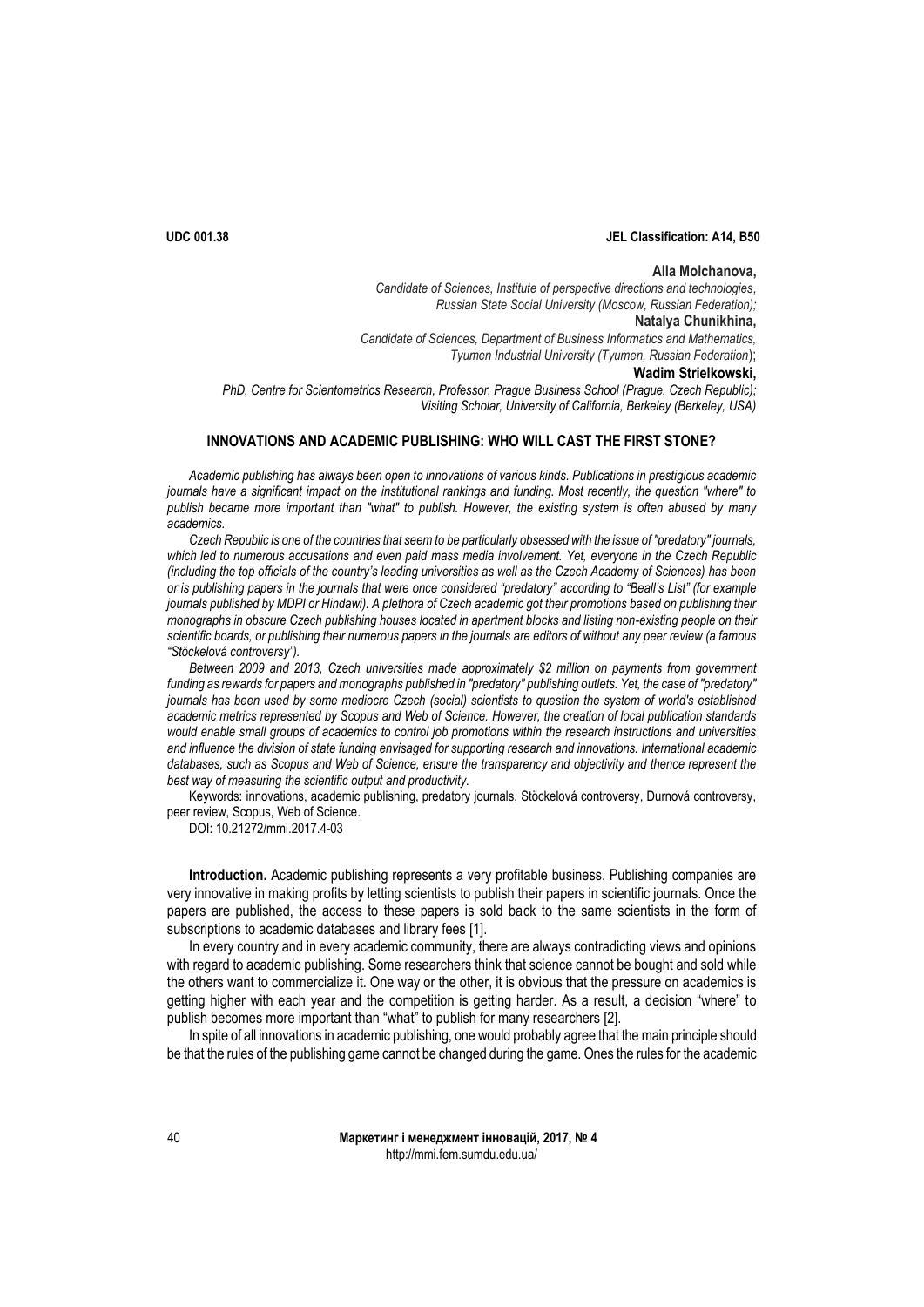# **UDC 001.38 JEL Classification: A14, B50**

### **Alla Molchanovа,**

*Candidate of Sciences, Institute of perspective directions and technologies, Russian State Social University (Moscow, Russian Federation);* **Natalya Chunikhina,** *Candidate of Sciences, Department of Business Informatics and Mathematics, Tyumen Industrial University (Tyumen, Russian Federation*); **Wadim Strielkowski,**  *PhD, Centre for Scientometrics Research, Professor, Prague Business School (Prague, Czech Republic);*

*Visiting Scholar, University of California, Berkeley (Berkeley, USA)*

# **INNOVATIONS AND ACADEMIC PUBLISHING: WHO WILL CAST THE FIRST STONE?**

*Academic publishing has always been open to innovations of various kinds. Publications in prestigious academic journals have a significant impact on the institutional rankings and funding. Most recently, the question "where" to publish became more important than "what" to publish. However, the existing system is often abused by many academics.* 

*Czech Republic is one of the countries that seem to be particularly obsessed with the issue of "predatory" journals, which led to numerous accusations and even paid mass media involvement. Yet, everyone in the Czech Republic (including the top officials of the country's leading universities as well as the Czech Academy of Sciences) has been or is publishing papers in the journals that were once considered "predatory" according to "Beall's List" (for example journals published by MDPI or Hindawi). A plethora of Czech academic got their promotions based on publishing their monographs in obscure Czech publishing houses located in apartment blocks and listing non-existing people on their scientific boards, or publishing their numerous papers in the journals are editors of without any peer review (a famous "Stöckelová controversy").* 

*Between 2009 and 2013, Czech universities made approximately \$2 million on payments from government*  funding as rewards for papers and monographs published in "predatory" publishing outlets. Yet, the case of "predatory" *journals has been used by some mediocre Czech (social) scientists to question the system of world's established academic metrics represented by Scopus and Web of Science. However, the creation of local publication standards would enable small groups of academics to control job promotions within the research instructions and universities and influence the division of state funding envisaged for supporting research and innovations. International academic databases, such as Scopus and Web of Science, ensure the transparency and objectivity and thence represent the best way of measuring the scientific output and productivity.*

Keywords: innovations, academic publishing, predatory journals, Stöckelová controversy, Durnová controversy, peer review, Scopus, Web of Science.

DOI: 10.21272/mmi.2017.4-03

**Introduction.** Academic publishing represents a very profitable business. Publishing companies are very innovative in making profits by letting scientists to publish their papers in scientific journals. Once the papers are published, the access to these papers is sold back to the same scientists in the form of subscriptions to academic databases and library fees [1].

In every country and in every academic community, there are always contradicting views and opinions with regard to academic publishing. Some researchers think that science cannot be bought and sold while the others want to commercialize it. One way or the other, it is obvious that the pressure on academics is getting higher with each year and the competition is getting harder. As a result, a decision "where" to publish becomes more important than "what" to publish for many researchers [2].

In spite of all innovations in academic publishing, one would probably agree that the main principle should be that the rules of the publishing game cannot be changed during the game. Ones the rules for the academic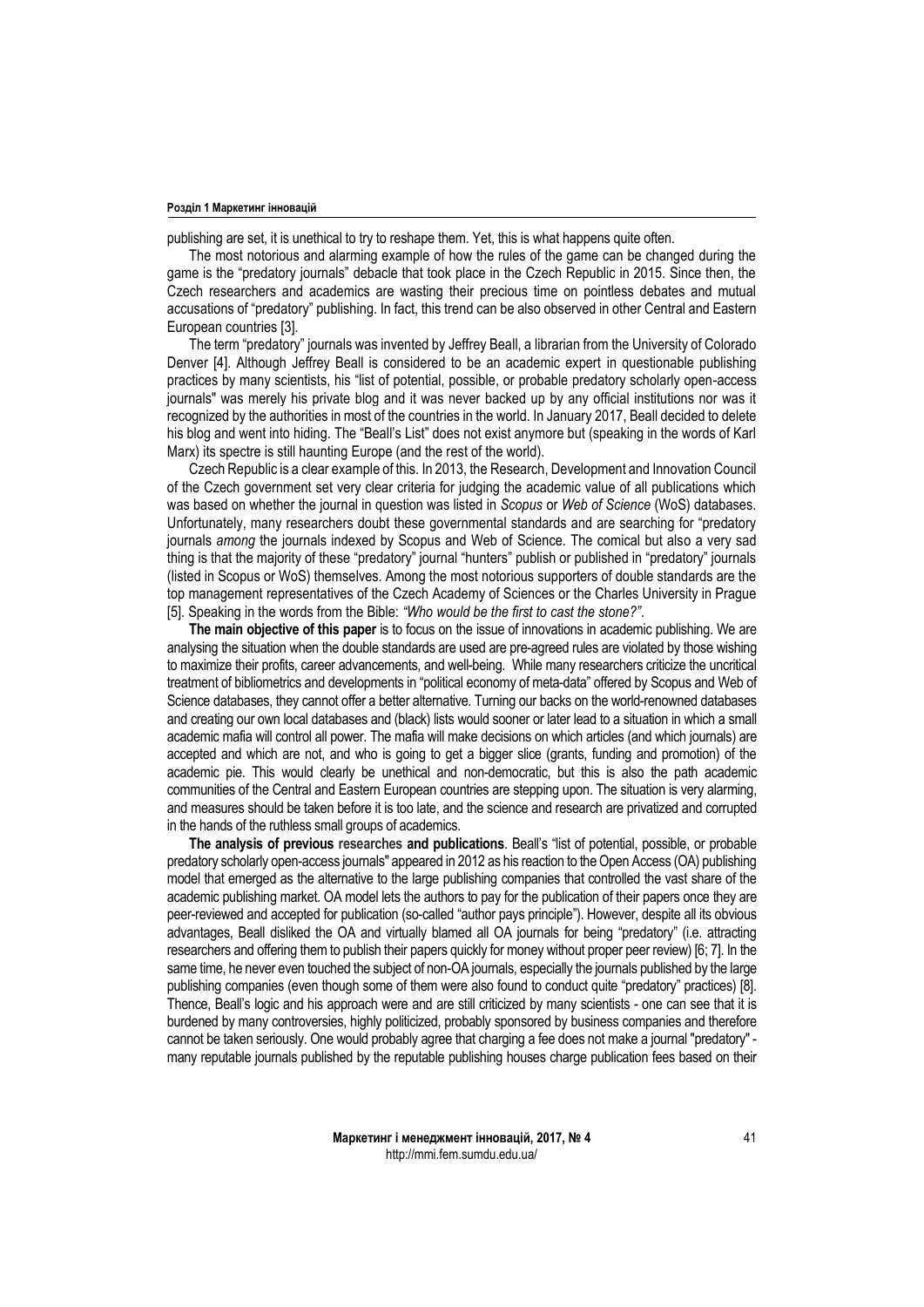publishing are set, it is unethical to try to reshape them. Yet, this is what happens quite often.

The most notorious and alarming example of how the rules of the game can be changed during the game is the "predatory journals" debacle that took place in the Czech Republic in 2015. Since then, the Czech researchers and academics are wasting their precious time on pointless debates and mutual accusations of "predatory" publishing. In fact, this trend can be also observed in other Central and Eastern European countries [3].

The term "predatory" journals was invented by Jeffrey Beall, a librarian from the University of Colorado Denver [4]. Although Jeffrey Beall is considered to be an academic expert in questionable publishing practices by many scientists, his "list of potential, possible, or probable predatory scholarly open-access journals" was merely his private blog and it was never backed up by any official institutions nor was it recognized by the authorities in most of the countries in the world. In January 2017, Beall decided to delete his blog and went into hiding. The "Beall's List" does not exist anymore but (speaking in the words of Karl Marx) its spectre is still haunting Europe (and the rest of the world).

Czech Republic is a clear example of this. In 2013, the Research, Development and Innovation Council of the Czech government set very clear criteria for judging the academic value of all publications which was based on whether the journal in question was listed in *Scopus* or *Web of Science* (WoS) databases. Unfortunately, many researchers doubt these governmental standards and are searching for "predatory journals *among* the journals indexed by Scopus and Web of Science. The comical but also a very sad thing is that the majority of these "predatory" journal "hunters" publish or published in "predatory" journals (listed in Scopus or WoS) themselves. Among the most notorious supporters of double standards are the top management representatives of the Czech Academy of Sciences or the Charles University in Prague [5]. Speaking in the words from the Bible: *"Who would be the first to cast the stone?"*.

**The main objective of this paper** is to focus on the issue of innovations in academic publishing. We are analysing the situation when the double standards are used are pre-agreed rules are violated by those wishing to maximize their profits, career advancements, and well-being. While many researchers criticize the uncritical treatment of bibliometrics and developments in "political economy of meta-data" offered by Scopus and Web of Science databases, they cannot offer a better alternative. Turning our backs on the world-renowned databases and creating our own local databases and (black) lists would sooner or later lead to a situation in which a small academic mafia will control all power. The mafia will make decisions on which articles (and which journals) are accepted and which are not, and who is going to get a bigger slice (grants, funding and promotion) of the academic pie. This would clearly be unethical and non-democratic, but this is also the path academic communities of the Central and Eastern European countries are stepping upon. The situation is very alarming, and measures should be taken before it is too late, and the science and research are privatized and corrupted in the hands of the ruthless small groups of academics.

**The analysis of previous researches and publications**. Beall's "list of potential, possible, or probable predatory scholarly open-access journals" appeared in 2012 as his reaction to the Open Access (OA) publishing model that emerged as the alternative to the large publishing companies that controlled the vast share of the academic publishing market. OA model lets the authors to pay for the publication of their papers once they are peer-reviewed and accepted for publication (so-called "author pays principle"). However, despite all its obvious advantages, Beall disliked the OA and virtually blamed all OA journals for being "predatory" (i.e. attracting researchers and offering them to publish their papers quickly for money without proper peer review) [6; 7]. In the same time, he never even touched the subject of non-OA journals, especially the journals published by the large publishing companies (even though some of them were also found to conduct quite "predatory" practices) [8]. Thence, Beall's logic and his approach were and are still criticized by many scientists - one can see that it is burdened by many controversies, highly politicized, probably sponsored by business companies and therefore cannot be taken seriously. One would probably agree that charging a fee does not make a journal "predatory" many reputable journals published by the reputable publishing houses charge publication fees based on their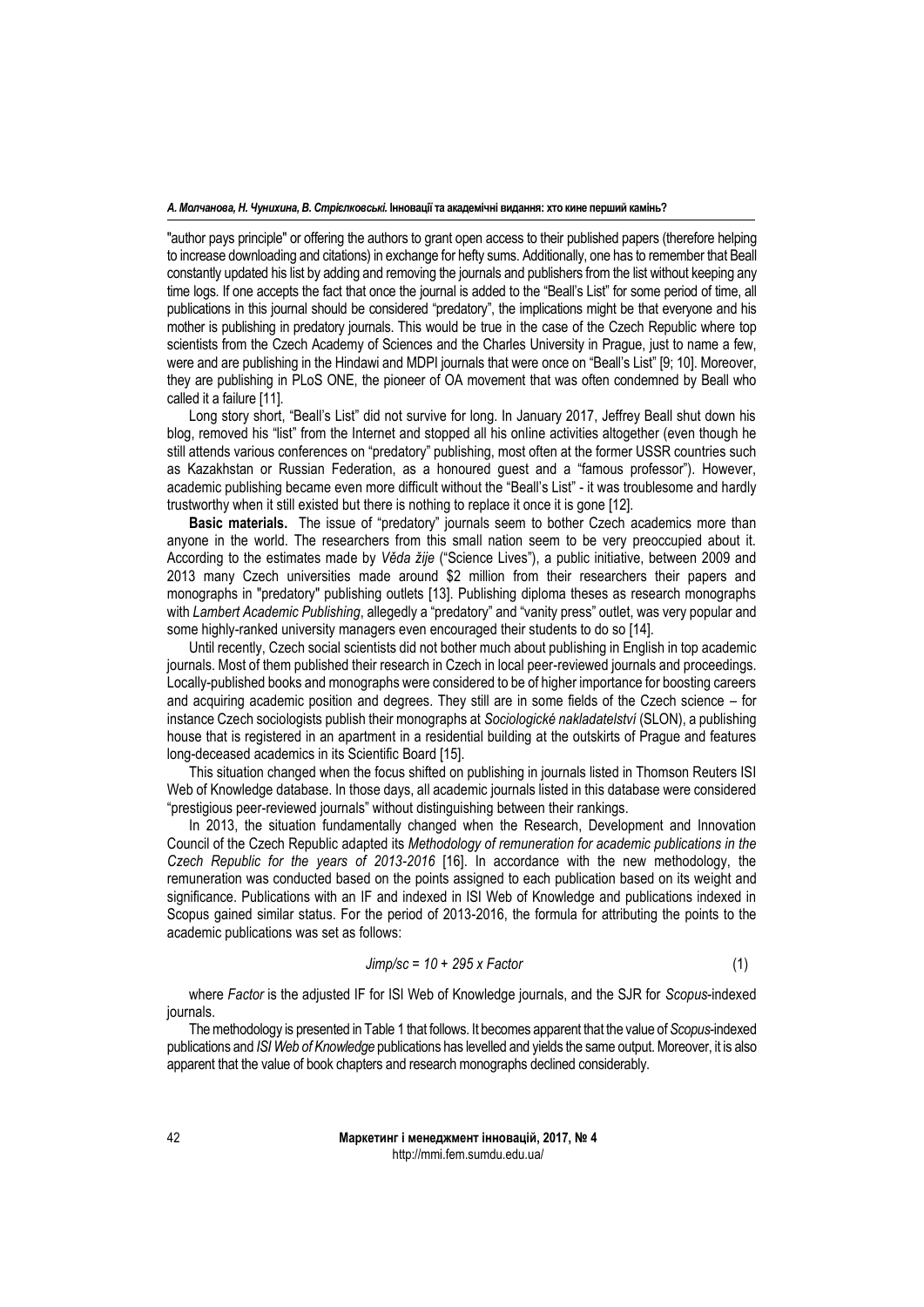"author pays principle" or offering the authors to grant open access to their published papers (therefore helping to increase downloading and citations) in exchange for hefty sums. Additionally, one has to remember that Beall constantly updated his list by adding and removing the journals and publishers from the list without keeping any time logs. If one accepts the fact that once the journal is added to the "Beall's List" for some period of time, all publications in this journal should be considered "predatory", the implications might be that everyone and his mother is publishing in predatory journals. This would be true in the case of the Czech Republic where top scientists from the Czech Academy of Sciences and the Charles University in Prague, just to name a few, were and are publishing in the Hindawi and MDPI journals that were once on "Beall's List" [9; 10]. Moreover, they are publishing in PLoS ONE, the pioneer of OA movement that was often condemned by Beall who called it a failure [11].

Long story short, "Beall's List" did not survive for long. In January 2017, Jeffrey Beall shut down his blog, removed his "list" from the Internet and stopped all his online activities altogether (even though he still attends various conferences on "predatory" publishing, most often at the former USSR countries such as Kazakhstan or Russian Federation, as a honoured guest and a "famous professor"). However, academic publishing became even more difficult without the "Beall's List" - it was troublesome and hardly trustworthy when it still existed but there is nothing to replace it once it is gone [12].

**Basic materials.** The issue of "predatory" journals seem to bother Czech academics more than anyone in the world. The researchers from this small nation seem to be very preoccupied about it. According to the estimates made by *Věda žije* ("Science Lives"), a public initiative, between 2009 and 2013 many Czech universities made around \$2 million from their researchers their papers and monographs in "predatory" publishing outlets [13]. Publishing diploma theses as research monographs with *Lambert Academic Publishing*, allegedly a "predatory" and "vanity press" outlet, was very popular and some highly-ranked university managers even encouraged their students to do so [14].

Until recently, Czech social scientists did not bother much about publishing in English in top academic journals. Most of them published their research in Czech in local peer-reviewed journals and proceedings. Locally-published books and monographs were considered to be of higher importance for boosting careers and acquiring academic position and degrees. They still are in some fields of the Czech science – for instance Czech sociologists publish their monographs at *Sociologické nakladatelství* (SLON), a publishing house that is registered in an apartment in a residential building at the outskirts of Prague and features long-deceased academics in its Scientific Board [15].

This situation changed when the focus shifted on publishing in journals listed in Thomson Reuters ISI Web of Knowledge database. In those days, all academic journals listed in this database were considered "prestigious peer-reviewed journals" without distinguishing between their rankings.

In 2013, the situation fundamentally changed when the Research, Development and Innovation Council of the Czech Republic adapted its *Methodology of remuneration for academic publications in the Czech Republic for the years of 2013-2016* [16]. In accordance with the new methodology, the remuneration was conducted based on the points assigned to each publication based on its weight and significance. Publications with an IF and indexed in ISI Web of Knowledge and publications indexed in Scopus gained similar status. For the period of 2013-2016, the formula for attributing the points to the academic publications was set as follows:

$$
Jimp/sec = 10 + 295 \times Factor
$$
 (1)

where *Factor* is the adjusted IF for ISI Web of Knowledge journals, and the SJR for *Scopus*-indexed journals.

The methodology is presented in Table 1 that follows. It becomes apparent that the value of *Scopus*-indexed publications and *ISI Web of Knowledge* publications has levelled and yields the same output. Moreover, it is also apparent that the value of book chapters and research monographs declined considerably.

> **Маркетинг і менеджмент інновацій, 2017, № 4** http://mmi.fem.sumdu.edu.ua/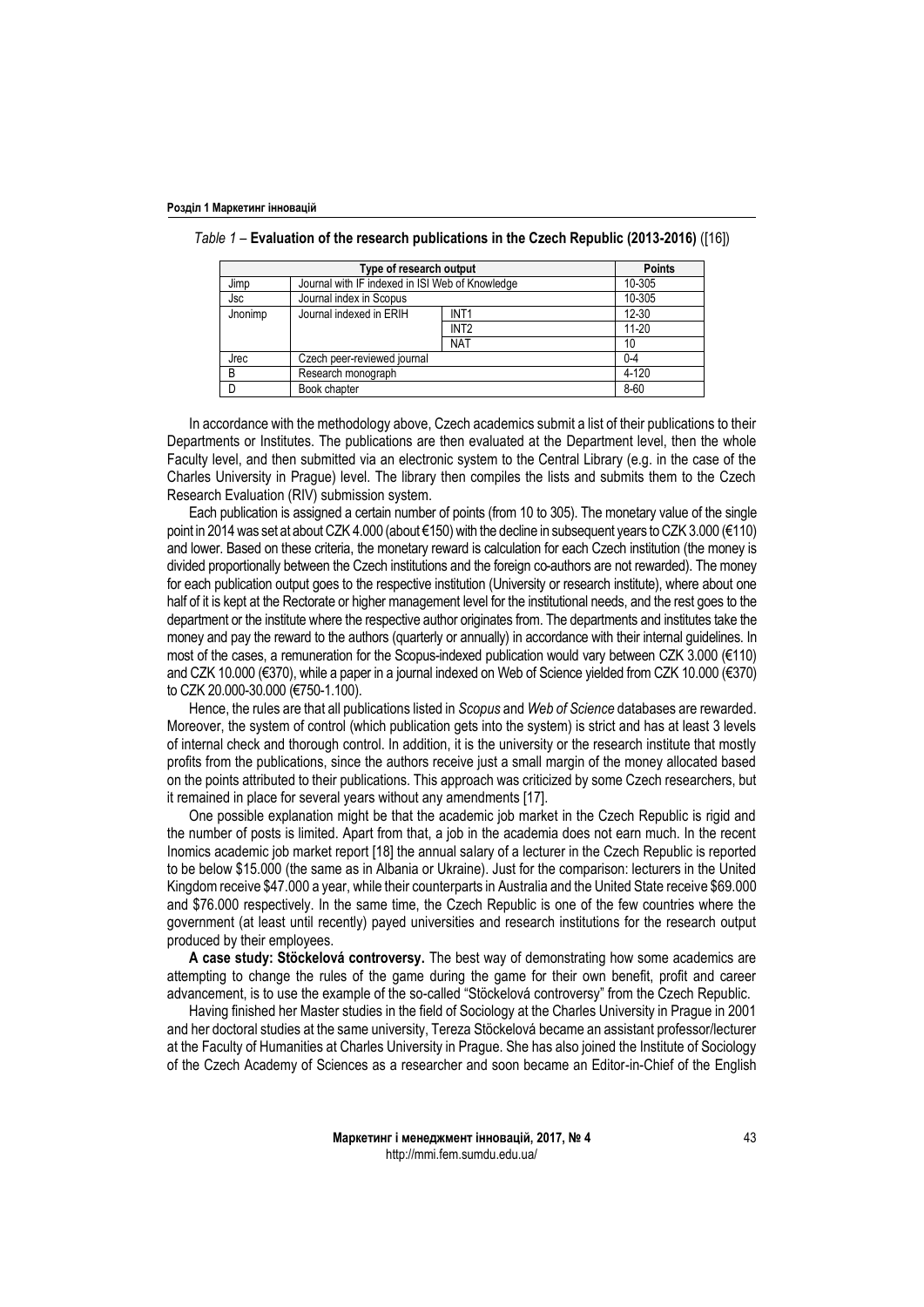| Type of research output |                                                 |                  | <b>Points</b> |
|-------------------------|-------------------------------------------------|------------------|---------------|
| Jimp                    | Journal with IF indexed in ISI Web of Knowledge |                  | 10-305        |
| Jsc                     | Journal index in Scopus                         |                  | 10-305        |
| Jnonimp                 | Journal indexed in ERIH                         | INT <sub>1</sub> | 12-30         |
|                         |                                                 | INT <sub>2</sub> | $11 - 20$     |
|                         |                                                 | <b>NAT</b>       | 10            |
| Jrec                    | Czech peer-reviewed journal                     |                  | $0 - 4$       |
| B                       | Research monograph                              |                  | 4-120         |
| D                       | Book chapter                                    |                  | 8-60          |

| Table 1 – Evaluation of the research publications in the Czech Republic (2013-2016) ([16]) |  |  |
|--------------------------------------------------------------------------------------------|--|--|
|--------------------------------------------------------------------------------------------|--|--|

In accordance with the methodology above, Czech academics submit a list of their publications to their Departments or Institutes. The publications are then evaluated at the Department level, then the whole Faculty level, and then submitted via an electronic system to the Central Library (e.g. in the case of the Charles University in Prague) level. The library then compiles the lists and submits them to the Czech Research Evaluation (RIV) submission system.

Each publication is assigned a certain number of points (from 10 to 305). The monetary value of the single point in 2014 was set at about CZK 4.000 (about €150) with the decline in subsequent years to CZK 3.000 (€110) and lower. Based on these criteria, the monetary reward is calculation for each Czech institution (the money is divided proportionally between the Czech institutions and the foreign co-authors are not rewarded). The money for each publication output goes to the respective institution (University or research institute), where about one half of it is kept at the Rectorate or higher management level for the institutional needs, and the rest goes to the department or the institute where the respective author originates from. The departments and institutes take the money and pay the reward to the authors (quarterly or annually) in accordance with their internal guidelines. In most of the cases, a remuneration for the Scopus-indexed publication would vary between CZK 3.000 (€110) and CZK 10.000 (€370), while a paper in a journal indexed on Web of Science yielded from CZK 10.000 (€370) to CZK 20.000-30.000 (€750-1.100).

Hence, the rules are that all publications listed in *Scopus* and *Web of Science* databases are rewarded. Moreover, the system of control (which publication gets into the system) is strict and has at least 3 levels of internal check and thorough control. In addition, it is the university or the research institute that mostly profits from the publications, since the authors receive just a small margin of the money allocated based on the points attributed to their publications. This approach was criticized by some Czech researchers, but it remained in place for several years without any amendments [17].

One possible explanation might be that the academic job market in the Czech Republic is rigid and the number of posts is limited. Apart from that, a job in the academia does not earn much. In the recent Inomics academic job market report [18] the annual salary of a lecturer in the Czech Republic is reported to be below \$15.000 (the same as in Albania or Ukraine). Just for the comparison: lecturers in the United Kingdom receive \$47.000 a year, while their counterparts in Australia and the United State receive \$69.000 and \$76.000 respectively. In the same time, the Czech Republic is one of the few countries where the government (at least until recently) payed universities and research institutions for the research output produced by their employees.

**A case study: Stöckelová controversy.** The best way of demonstrating how some academics are attempting to change the rules of the game during the game for their own benefit, profit and career advancement, is to use the example of the so-called "Stöckelová controversy" from the Czech Republic.

Having finished her Master studies in the field of Sociology at the Charles University in Prague in 2001 and her doctoral studies at the same university, Tereza Stöckelová became an assistant professor/lecturer at the Faculty of Humanities at Charles University in Prague. She has also joined the Institute of Sociology of the Czech Academy of Sciences as a researcher and soon became an Editor-in-Chief of the English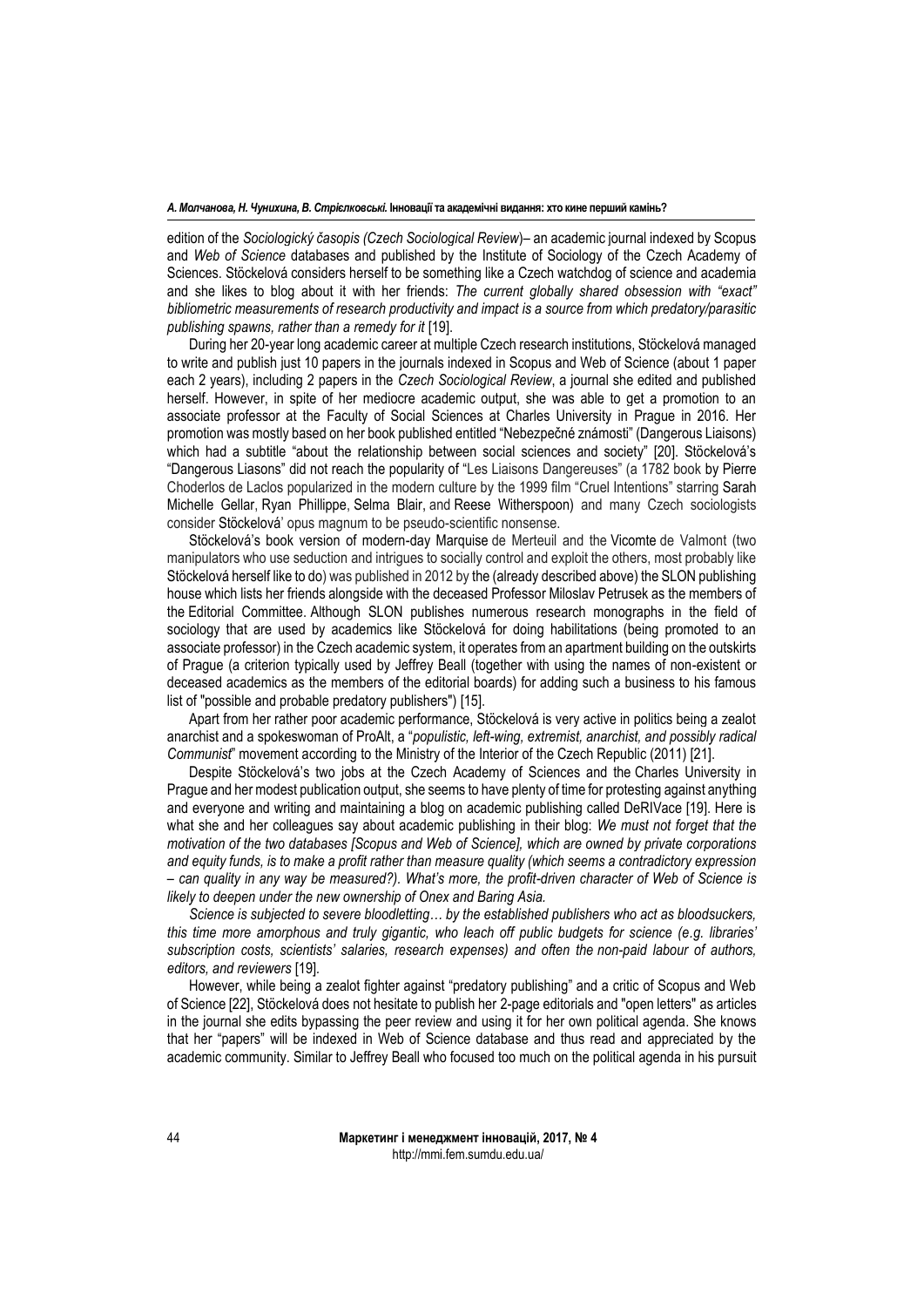edition of the *Sociologický časopis (Czech Sociological Review*)– an academic journal indexed by Scopus and *Web of Science* databases and published by the Institute of Sociology of the Czech Academy of Sciences. Stöckelová considers herself to be something like a Czech watchdog of science and academia and she likes to blog about it with her friends: *The current globally shared obsession with "exact" bibliometric measurements of research productivity and impact is a source from which predatory/parasitic publishing spawns, rather than a remedy for it* [19].

During her 20-year long academic career at multiple Czech research institutions, Stöckelová managed to write and publish just 10 papers in the journals indexed in Scopus and Web of Science (about 1 paper each 2 years), including 2 papers in the *Czech Sociological Review*, a journal she edited and published herself. However, in spite of her mediocre academic output, she was able to get a promotion to an associate professor at the Faculty of Social Sciences at Charles University in Prague in 2016. Her promotion was mostly based on her book published entitled "Nebezpečné známosti" (Dangerous Liaisons) which had a subtitle "about the relationship between social sciences and society" [20]. Stöckelová's "Dangerous Liasons" did not reach the popularity of "Les Liaisons Dangereuses" (a 1782 book by Pierre Choderlos de Laclos popularized in the modern culture by the 1999 film "Cruel Intentions" starring Sarah Michelle Gellar, Ryan Phillippe, Selma Blair, and Reese Witherspoon) and many Czech sociologists consider Stöckelová' opus magnum to be pseudo-scientific nonsense.

Stöckelová's book version of modern-day Marquise de Merteuil and the Vicomte de Valmont (two manipulators who use seduction and intrigues to socially control and exploit the others, most probably like Stöckelová herself like to do) was published in 2012 by the (already described above) the SLON publishing house which lists her friends alongside with the deceased Professor Miloslav Petrusek as the members of the Editorial Committee. Although SLON publishes numerous research monographs in the field of sociology that are used by academics like Stöckelová for doing habilitations (being promoted to an associate professor) in the Czech academic system, it operates from an apartment building on the outskirts of Prague (a criterion typically used by Jeffrey Beall (together with using the names of non-existent or deceased academics as the members of the editorial boards) for adding such a business to his famous list of "possible and probable predatory publishers") [15].

Apart from her rather poor academic performance, Stöckelová is very active in politics being a zealot anarchist and a spokeswoman of ProAlt, a "*populistic, left-wing, extremist, anarchist, and possibly radical Communist*" movement according to the Ministry of the Interior of the Czech Republic (2011) [21].

Despite Stöckelová's two jobs at the Czech Academy of Sciences and the Charles University in Prague and her modest publication output, she seems to have plenty of time for protesting against anything and everyone and writing and maintaining a blog on academic publishing called DeRIVace [19]. Here is what she and her colleagues say about academic publishing in their blog: *We must not forget that the motivation of the two databases [Scopus and Web of Science], which are owned by private corporations and equity funds, is to make a profit rather than measure quality (which seems a contradictory expression – can quality in any way be measured?). What's more, the profit-driven character of Web of Science is likely to deepen under the new ownership of Onex and Baring Asia.*

*Science is subjected to severe bloodletting… by the established publishers who act as bloodsuckers, this time more amorphous and truly gigantic, who leach off public budgets for science (e.g. libraries' subscription costs, scientists' salaries, research expenses) and often the non-paid labour of authors, editors, and reviewers* [19]*.*

However, while being a zealot fighter against "predatory publishing" and a critic of Scopus and Web of Science [22], Stöckelová does not hesitate to publish her 2-page editorials and "open letters" as articles in the journal she edits bypassing the peer review and using it for her own political agenda. She knows that her "papers" will be indexed in Web of Science database and thus read and appreciated by the academic community. Similar to Jeffrey Beall who focused too much on the political agenda in his pursuit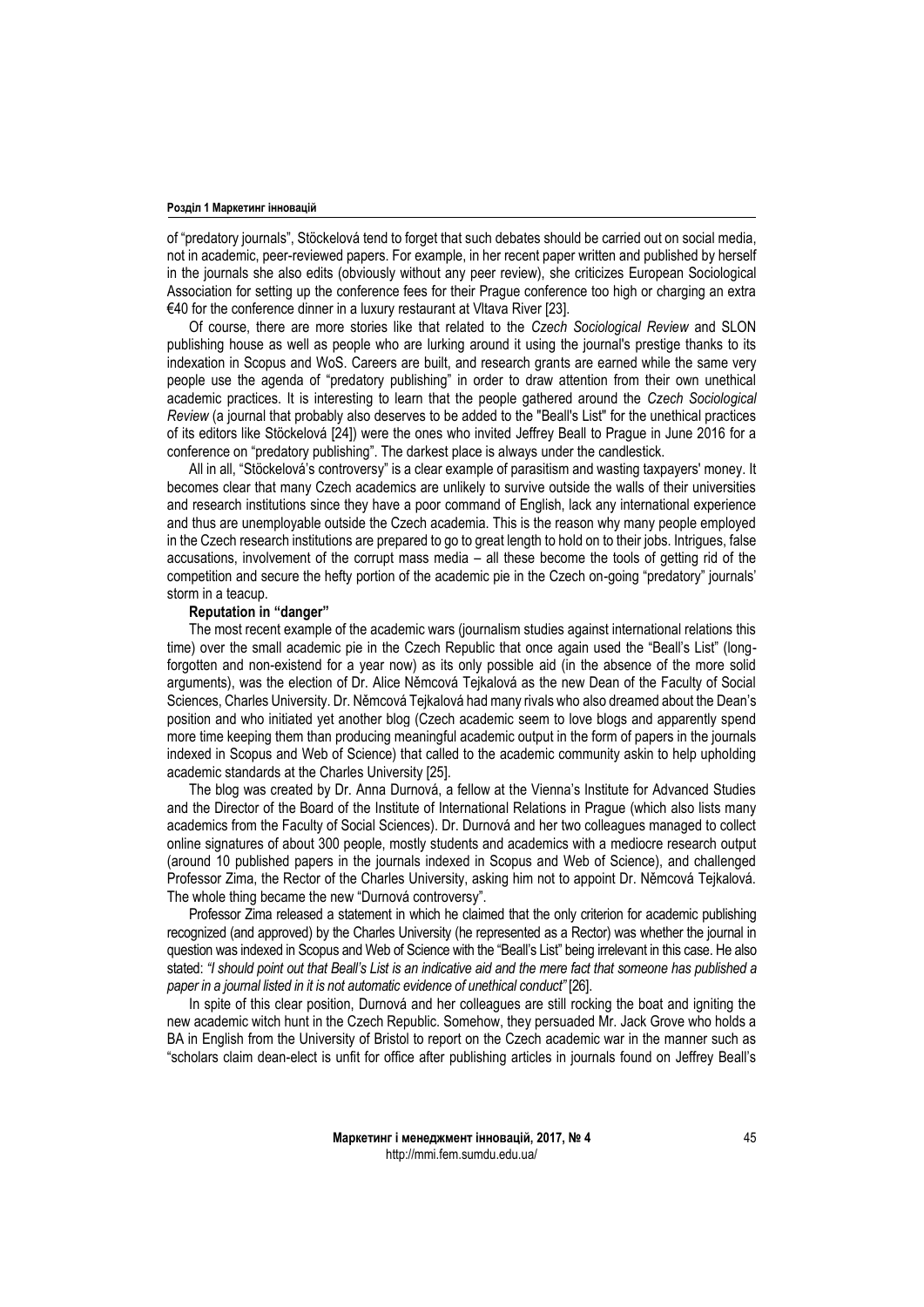of "predatory journals", Stöckelová tend to forget that such debates should be carried out on social media, not in academic, peer-reviewed papers. For example, in her recent paper written and published by herself in the journals she also edits (obviously without any peer review), she criticizes European Sociological Association for setting up the conference fees for their Prague conference too high or charging an extra €40 for the conference dinner in a luxury restaurant at Vltava River [23].

Of course, there are more stories like that related to the *Czech Sociological Review* and SLON publishing house as well as people who are lurking around it using the journal's prestige thanks to its indexation in Scopus and WoS. Careers are built, and research grants are earned while the same very people use the agenda of "predatory publishing" in order to draw attention from their own unethical academic practices. It is interesting to learn that the people gathered around the *Czech Sociological Review* (a journal that probably also deserves to be added to the "Beall's List" for the unethical practices of its editors like Stöckelová [24]) were the ones who invited Jeffrey Beall to Prague in June 2016 for a conference on "predatory publishing". The darkest place is always under the candlestick.

All in all, "Stöckelová's controversy" is a clear example of parasitism and wasting taxpayers' money. It becomes clear that many Czech academics are unlikely to survive outside the walls of their universities and research institutions since they have a poor command of English, lack any international experience and thus are unemployable outside the Czech academia. This is the reason why many people employed in the Czech research institutions are prepared to go to great length to hold on to their jobs. Intrigues, false accusations, involvement of the corrupt mass media – all these become the tools of getting rid of the competition and secure the hefty portion of the academic pie in the Czech on-going "predatory" journals' storm in a teacup.

## **Reputation in "danger"**

The most recent example of the academic wars (journalism studies against international relations this time) over the small academic pie in the Czech Republic that once again used the "Beall's List" (longforgotten and non-existend for a year now) as its only possible aid (in the absence of the more solid arguments), was the election of Dr. Alice Němcová Tejkalová as the new Dean of the Faculty of Social Sciences, Charles University. Dr. Němcová Tejkalová had many rivals who also dreamed about the Dean's position and who initiated yet another blog (Czech academic seem to love blogs and apparently spend more time keeping them than producing meaningful academic output in the form of papers in the journals indexed in Scopus and Web of Science) that called to the academic community askin to help upholding academic standards at the Charles University [25].

The blog was created by Dr. Anna Durnová, a fellow at the Vienna's Institute for Advanced Studies and the Director of the Board of the Institute of International Relations in Prague (which also lists many academics from the Faculty of Social Sciences). Dr. Durnová and her two colleagues managed to collect online signatures of about 300 people, mostly students and academics with a mediocre research output (around 10 published papers in the journals indexed in Scopus and Web of Science), and challenged Professor Zima, the Rector of the Charles University, asking him not to appoint Dr. Němcová Tejkalová. The whole thing became the new "Durnová controversy".

Professor Zima released a statement in which he claimed that the only criterion for academic publishing recognized (and approved) by the Charles University (he represented as a Rector) was whether the journal in question was indexed in Scopus and Web of Science with the "Beall's List" being irrelevant in this case. He also stated: *"I should point out that Beall's List is an indicative aid and the mere fact that someone has published a paper in a journal listed in it is not automatic evidence of unethical conduct"* [26].

In spite of this clear position, Durnová and her colleagues are still rocking the boat and igniting the new academic witch hunt in the Czech Republic. Somehow, they persuaded Mr. Jack Grove who holds a BA in English from the University of Bristol to report on the Czech academic war in the manner such as "scholars claim dean-elect is unfit for office after publishing articles in journals found on Jeffrey Beall's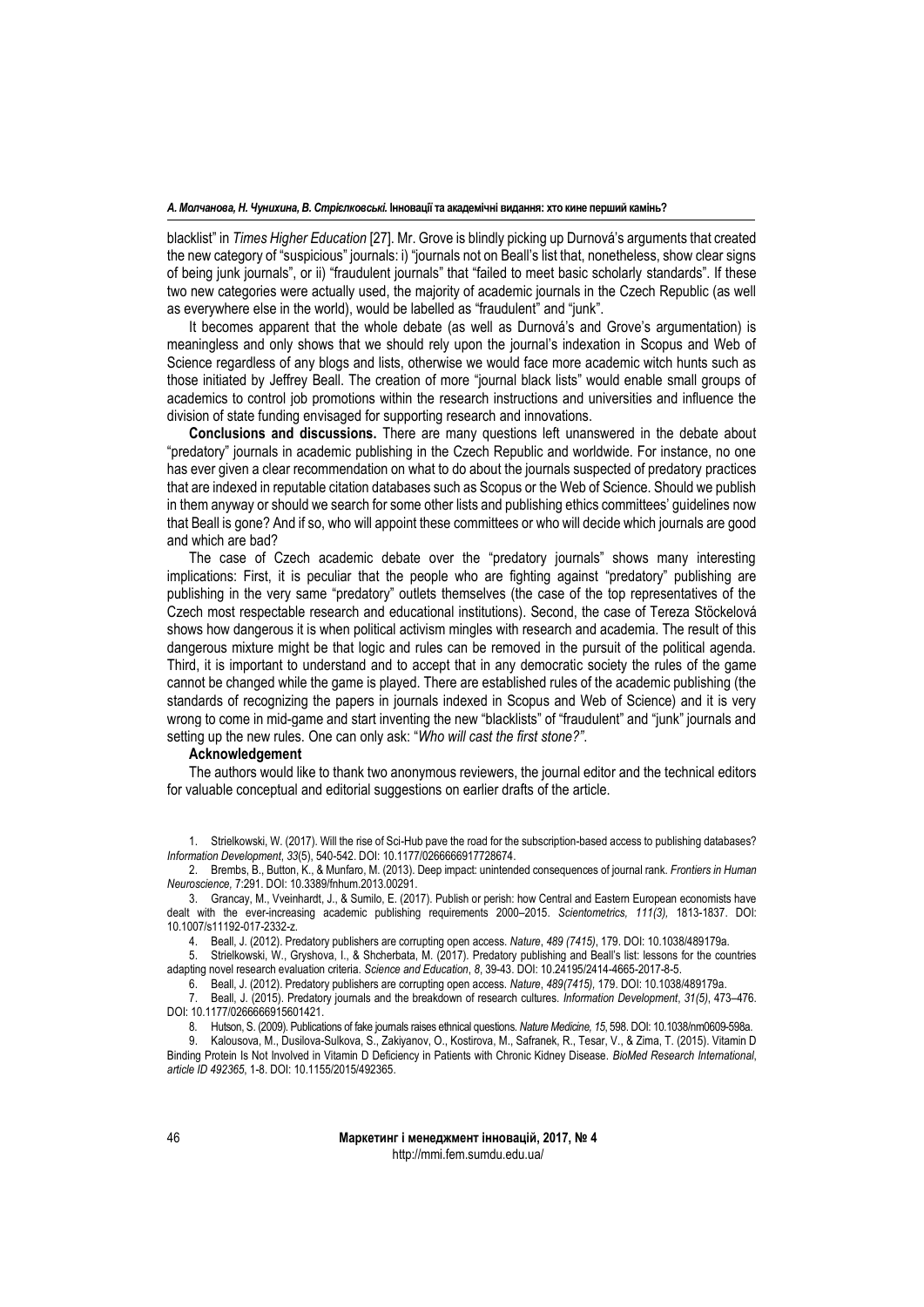blacklist" in *Times Higher Education* [27]. Mr. Grove is blindly picking up Durnová's arguments that created the new category of "suspicious" journals: i) "journals not on Beall's list that, nonetheless, show clear signs of being junk journals", or ii) "fraudulent journals" that "failed to meet basic scholarly standards". If these two new categories were actually used, the majority of academic journals in the Czech Republic (as well as everywhere else in the world), would be labelled as "fraudulent" and "junk".

It becomes apparent that the whole debate (as well as Durnová's and Grove's argumentation) is meaningless and only shows that we should rely upon the journal's indexation in Scopus and Web of Science regardless of any blogs and lists, otherwise we would face more academic witch hunts such as those initiated by Jeffrey Beall. The creation of more "journal black lists" would enable small groups of academics to control job promotions within the research instructions and universities and influence the division of state funding envisaged for supporting research and innovations.

**Conclusions and discussions.** There are many questions left unanswered in the debate about "predatory" journals in academic publishing in the Czech Republic and worldwide. For instance, no one has ever given a clear recommendation on what to do about the journals suspected of predatory practices that are indexed in reputable citation databases such as Scopus or the Web of Science. Should we publish in them anyway or should we search for some other lists and publishing ethics committees' guidelines now that Beall is gone? And if so, who will appoint these committees or who will decide which journals are good and which are bad?

The case of Czech academic debate over the "predatory journals" shows many interesting implications: First, it is peculiar that the people who are fighting against "predatory" publishing are publishing in the very same "predatory" outlets themselves (the case of the top representatives of the Czech most respectable research and educational institutions). Second, the case of Tereza Stöckelová shows how dangerous it is when political activism mingles with research and academia. The result of this dangerous mixture might be that logic and rules can be removed in the pursuit of the political agenda. Third, it is important to understand and to accept that in any democratic society the rules of the game cannot be changed while the game is played. There are established rules of the academic publishing (the standards of recognizing the papers in journals indexed in Scopus and Web of Science) and it is very wrong to come in mid-game and start inventing the new "blacklists" of "fraudulent" and "junk" journals and setting up the new rules. One can only ask: "*Who will cast the first stone?"*.

## **Acknowledgement**

The authors would like to thank two anonymous reviewers, the journal editor and the technical editors for valuable conceptual and editorial suggestions on earlier drafts of the article.

<sup>1.</sup> Strielkowski, W. (2017). Will the rise of Sci-Hub pave the road for the subscription-based access to publishing databases? *Information Development*, *33*(5), 540-542. DOI: 10.1177/0266666917728674.

<sup>2.</sup> Brembs, B., Button, K., & Munfaro, M. (2013). Deep impact: unintended consequences of journal rank. *Frontiers in Human Neuroscience,* 7:291. DOI: 10.3389/fnhum.2013.00291.

<sup>3.</sup> Grancay, M., Vveinhardt, J., & Sumilo, E. (2017). Publish or perish: how Central and Eastern European economists have dealt with the ever-increasing academic publishing requirements 2000–2015. *Scientometrics, 111(3),* 1813-1837. DOI: 10.1007/s11192-017-2332-z.

<sup>4.</sup> Beall, J. (2012). Predatory publishers are corrupting open access. *Nature*, *489 (7415)*, 179. DOI: 10.1038/489179a.

<sup>5.</sup> Strielkowski, W., Gryshova, I., & Shcherbata, M. (2017). Predatory publishing and Beall's list: lessons for the countries adapting novel research evaluation criteria. *Science and Education*, *8*, 39-43. DOI: 10.24195/2414-4665-2017-8-5.

<sup>6.</sup> Beall, J. (2012). Predatory publishers are corrupting open access. *Nature*, *489(7415),* 179. DOI: 10.1038/489179a.

<sup>7.</sup> Beall, J. (2015). Predatory journals and the breakdown of research cultures. *Information Development*, *31(5)*, 473–476. DOI: 10.1177/0266666915601421.

<sup>8.</sup> Hutson, S. (2009). Publications of fake journals raises ethnical questions. *Nature Medicine, 15*, 598. DOI: 10.1038/nm0609-598a.

<sup>9.</sup> Kalousova, M., Dusilova-Sulkova, S., Zakiyanov, O., Kostirova, M., Safranek, R., Tesar, V., & Zima, T. (2015). Vitamin D Binding Protein Is Not Involved in Vitamin D Deficiency in Patients with Chronic Kidney Disease. *BioMed Research International*, *article ID 492365*, 1-8. DOI: 10.1155/2015/492365.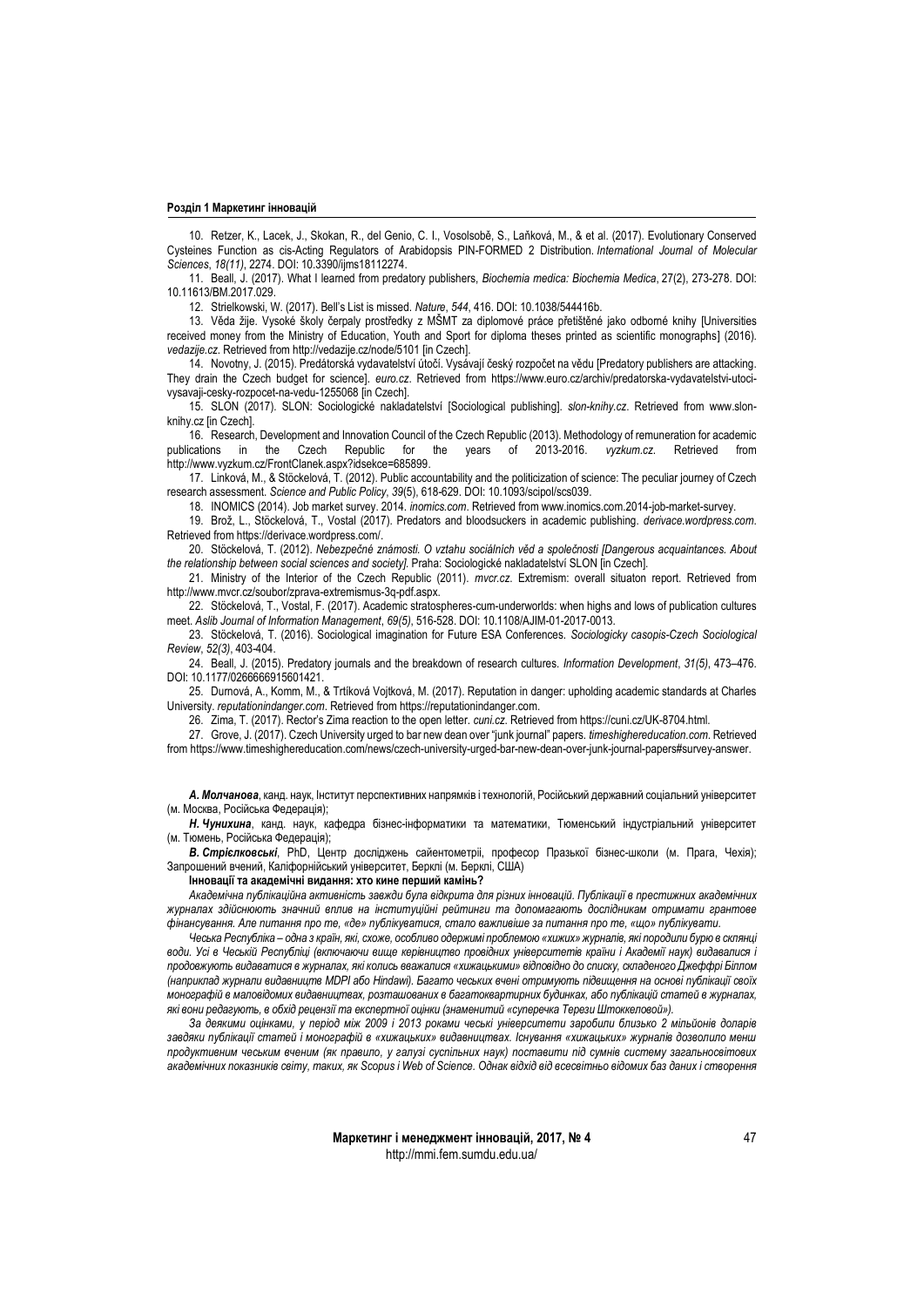10. Retzer, K., Lacek, J., Skokan, R., del Genio, C. I., Vosolsobě, S., Laňková, M., & et al. (2017). Evolutionary Conserved Cysteines Function as cis-Acting Regulators of Arabidopsis PIN-FORMED 2 Distribution. *International Journal of Molecular Sciences*, *18(11)*, 2274. DOI: 10.3390/ijms18112274.

11. Beall, J. (2017). What I learned from predatory publishers, *Biochemia medica: Biochemia Medica*, 27(2), 273-278. DOI: 10.11613/BM.2017.029.

12. Strielkowski, W. (2017). Bell's List is missed. *Nature*, *544*, 416. DOI: 10.1038/544416b.

13. Věda žije. Vysoké školy čerpaly prostředky z MŠMT za diplomové práce přetištěné jako odborné knihy [Universities received money from the Ministry of Education, Youth and Sport for diploma theses printed as scientific monographs] (2016). *vedazije.cz*. Retrieved from http://vedazije.cz/node/5101 [in Czech].

14. Novotny, J. (2015). Predátorská vydavatelství útočí. Vysávají český rozpočet na vědu [Predatory publishers are attacking. They drain the Czech budget for science]. *euro.cz*. Retrieved from [https://www.euro.cz/archiv/predatorska-vydavatelstvi-utoci](https://www.euro.cz/archiv/predatorska-vydavatelstvi-utoci-vysavaji-cesky-rozpocet-na-vedu-1255068)[vysavaji-cesky-rozpocet-na-vedu-1255068](https://www.euro.cz/archiv/predatorska-vydavatelstvi-utoci-vysavaji-cesky-rozpocet-na-vedu-1255068) [in Czech].

15. SLON (2017). SLON: Sociologické nakladatelství [Sociological publishing]. *slon-knihy.cz*. Retrieved from [www.slon](http://www.slon-knihy.cz/)[knihy.cz](http://www.slon-knihy.cz/) [in Czech].

16. Research, Development and Innovation Council of the Czech Republic (2013). Methodology of remuneration for academic<br>cations in the Czech Republic for the years of 2013-2016. vyzkum.cz. Retrieved from publications in the Czech Republic for the years of 2013-2016. *vyzkum.cz*. Retrieved from [http://www.vyzkum.cz/FrontClanek.aspx?idsekce=685899.](http://www.vyzkum.cz/FrontClanek.aspx?idsekce=685899)

17. Linková, M., & Stöckelová, T. (2012). Public accountability and the politicization of science: The peculiar journey of Czech research assessment. *Science and Public Policy*, *39*(5), 618-629. DOI: 10.1093/scipol/scs039.

18. INOMICS (2014). Job market survey. 2014. *inomics.com*. Retrieved from www.inomics.com.2014-job-market-survey.

19. Brož, L., Stöckelová, T., Vostal (2017). Predators and bloodsuckers in academic publishing. *derivace.wordpress.com*. Retrieved from https://derivace.wordpress.com/.

20. Stöckelová, T. (2012). *Nebezpečné známosti. O vztahu sociálních věd a společnosti [Dangerous acquaintances. About the relationship between social sciences and society].* Praha: Sociologické nakladatelství SLON [in Czech].

21. Ministry of the Interior of the Czech Republic (2011). *mvcr.cz*. Extremism: overall situaton report. Retrieved from http://www.mvcr.cz/soubor/zprava-extremismus-3q-pdf.aspx.

22. Stöckelová, T., Vostal, F. (2017). Academic stratospheres-cum-underworlds: when highs and lows of publication cultures meet. *Aslib Journal of Information Management*, *69(5)*, 516-528. DOI: 10.1108/AJIM-01-2017-0013.

23. Stöckelová, T. (2016). Sociological imagination for Future ESA Conferences. *Sociologicky casopis-Czech Sociological Review*, *52(3)*, 403-404.

24. Beall, J. (2015). Predatory journals and the breakdown of research cultures. *Information Development*, *31(5)*, 473–476. DOI: 10.1177/0266666915601421.

25. Durnová, A., Komm, M., & Trtíková Vojtková, M. (2017). Reputation in danger: upholding academic standards at Charles University. *reputationindanger.com*. Retrieved from https://reputationindanger.com.

26. Zima, T. (2017). Rector's Zima reaction to the open letter. *cuni.cz*. Retrieved from https://cuni.cz/UK-8704.html.

27. Grove, J. (2017). Czech University urged to bar new dean over "junk journal" papers. *timeshighereducation.com*. Retrieved from https://www.timeshighereducation.com/news/czech-university-urged-bar-new-dean-over-junk-journal-papers#survey-answer.

*А. Молчанова*, канд. наук, Інститут перспективних напрямків і технологій, Російський державний соціальний університет (м. Москва, Російська Федерація);

*Н. Чунихина*, канд. наук, кафедра бізнес-інформатики та математики, Тюменський індустріальний університет (м. Тюмень, Російська Федерація);

*В. Стрієлковські*, PhD, Центр досліджень сайентометріі, професор Празької бізнес-школи (м. Прага, Чехія); Запрошений вчений, Каліфорнійський університет, Берклі (м. Берклі, США)

**Інновації та академічні видання: хто кине перший камінь?**

*Академічна публікаційна активність завжди була відкрита для різних інновацій. Публікації в престижних академічних журналах здійснюють значний вплив на інституційні рейтинги та допомагають дослідникам отримати грантове фінансування. Але питання про те, «де» публікуватися, стало важливіше за питання про те, «що» публікувати.*

*Чеська Республіка – одна з країн, які, схоже, особливо одержимі проблемою «хижих» журналів, які породили бурю в склянці води. Усі в Чеській Республіці (включаючи вище керівництво провідних університетів країни і Академії наук) видавалися і продовжують видаватися в журналах, які колись вважалися «хижацькими» відповідно до списку, складеного Джеффрі Біллом (наприклад журнали видавництв MDPI або Hindawi). Багато чеських вчені отримують підвищення на основі публікації своїх монографій в маловідомих видавництвах, розташованих в багатоквартирних будинках, або публікацій статей в журналах, які вони редагують, в обхід рецензії та експертної оцінки (знаменитий «суперечка Терези Штоккеловой»).*

*За деякими оцінками, у період між 2009 і 2013 роками чеські університети заробили близько 2 мільйонів доларів завдяки публікації статей і монографій в «хижацьких» видавництвах. Існування «хижацьких» журналів дозволило менш продуктивним чеським вченим (як правило, у галузі суспільних наук) поставити під сумнів систему загальносвітових академічних показників світу, таких, як Scopus і Web of Science. Однак відхід від всесвітньо відомих баз даних і створення*